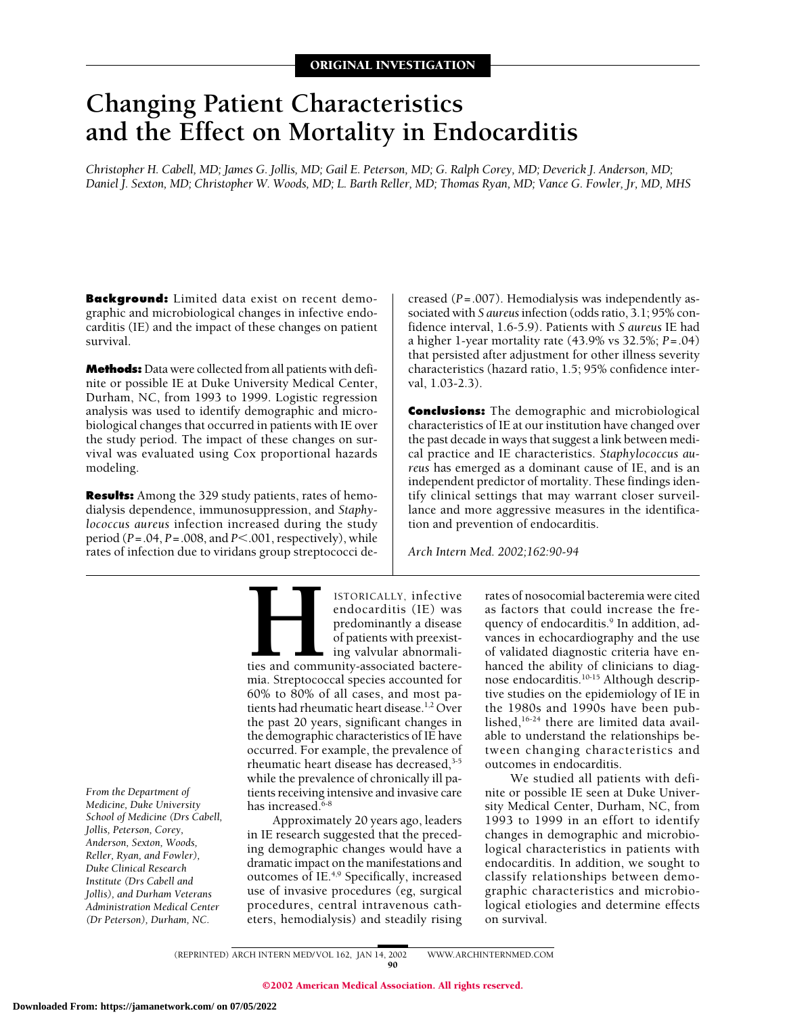# **Changing Patient Characteristics and the Effect on Mortality in Endocarditis**

*Christopher H. Cabell, MD; James G. Jollis, MD; Gail E. Peterson, MD; G. Ralph Corey, MD; Deverick J. Anderson, MD; Daniel J. Sexton, MD; Christopher W. Woods, MD; L. Barth Reller, MD; Thomas Ryan, MD; Vance G. Fowler, Jr, MD, MHS*

**Background:** Limited data exist on recent demographic and microbiological changes in infective endocarditis (IE) and the impact of these changes on patient survival.

**Methods:** Data were collected from all patients with definite or possible IE at Duke University Medical Center, Durham, NC, from 1993 to 1999. Logistic regression analysis was used to identify demographic and microbiological changes that occurred in patients with IE over the study period. The impact of these changes on survival was evaluated using Cox proportional hazards modeling.

**Results:** Among the 329 study patients, rates of hemodialysis dependence, immunosuppression, and *Staphylococcus aureus* infection increased during the study period  $(P=.04, P=.008, and P<.001, respectively)$ , while rates of infection due to viridans group streptococci decreased (*P*=.007). Hemodialysis was independently associated with *S aureus*infection (odds ratio, 3.1; 95% confidence interval, 1.6-5.9). Patients with *S aureus* IE had a higher 1-year mortality rate (43.9% vs 32.5%; *P*=.04) that persisted after adjustment for other illness severity characteristics (hazard ratio, 1.5; 95% confidence interval, 1.03-2.3).

**Conclusions:** The demographic and microbiological characteristics of IE at our institution have changed over the past decade in ways that suggest a link between medical practice and IE characteristics. *Staphylococcus aureus* has emerged as a dominant cause of IE, and is an independent predictor of mortality. These findings identify clinical settings that may warrant closer surveillance and more aggressive measures in the identification and prevention of endocarditis.

*Arch Intern Med. 2002;162:90-94*

*From the Department of Medicine, Duke University School of Medicine (Drs Cabell, Jollis, Peterson, Corey, Anderson, Sexton, Woods, Reller, Ryan, and Fowler), Duke Clinical Research Institute (Drs Cabell and Jollis), and Durham Veterans Administration Medical Center (Dr Peterson), Durham, NC.*

**HEPTORICALLY, infective**<br>
endocarditis (IE) was<br>
predominantly a disease<br>
of patients with preexist-<br>
ing valvular abnormali-<br>
ties and community-associated bactere-<br>
mia. Streptococcal species accounted for endocarditis (IE) was predominantly a disease of patients with preexisting valvular abnormalities and community-associated bactere-60% to 80% of all cases, and most patients had rheumatic heart disease.<sup>1,2</sup> Over the past 20 years, significant changes in the demographic characteristics of IE have occurred. For example, the prevalence of rheumatic heart disease has decreased, $3-5$ while the prevalence of chronically ill patients receiving intensive and invasive care has increased.<sup>6-8</sup>

Approximately 20 years ago, leaders in IE research suggested that the preceding demographic changes would have a dramatic impact on the manifestations and outcomes of IE.4,9 Specifically, increased use of invasive procedures (eg, surgical procedures, central intravenous catheters, hemodialysis) and steadily rising

rates of nosocomial bacteremia were cited as factors that could increase the frequency of endocarditis.<sup>9</sup> In addition, advances in echocardiography and the use of validated diagnostic criteria have enhanced the ability of clinicians to diagnose endocarditis.10-15 Although descriptive studies on the epidemiology of IE in the 1980s and 1990s have been published,16-24 there are limited data available to understand the relationships between changing characteristics and outcomes in endocarditis.

We studied all patients with definite or possible IE seen at Duke University Medical Center, Durham, NC, from 1993 to 1999 in an effort to identify changes in demographic and microbiological characteristics in patients with endocarditis. In addition, we sought to classify relationships between demographic characteristics and microbiological etiologies and determine effects on survival.

(REPRINTED) ARCH INTERN MED/ VOL 162, JAN 14, 2002 WWW.ARCHINTERNMED.COM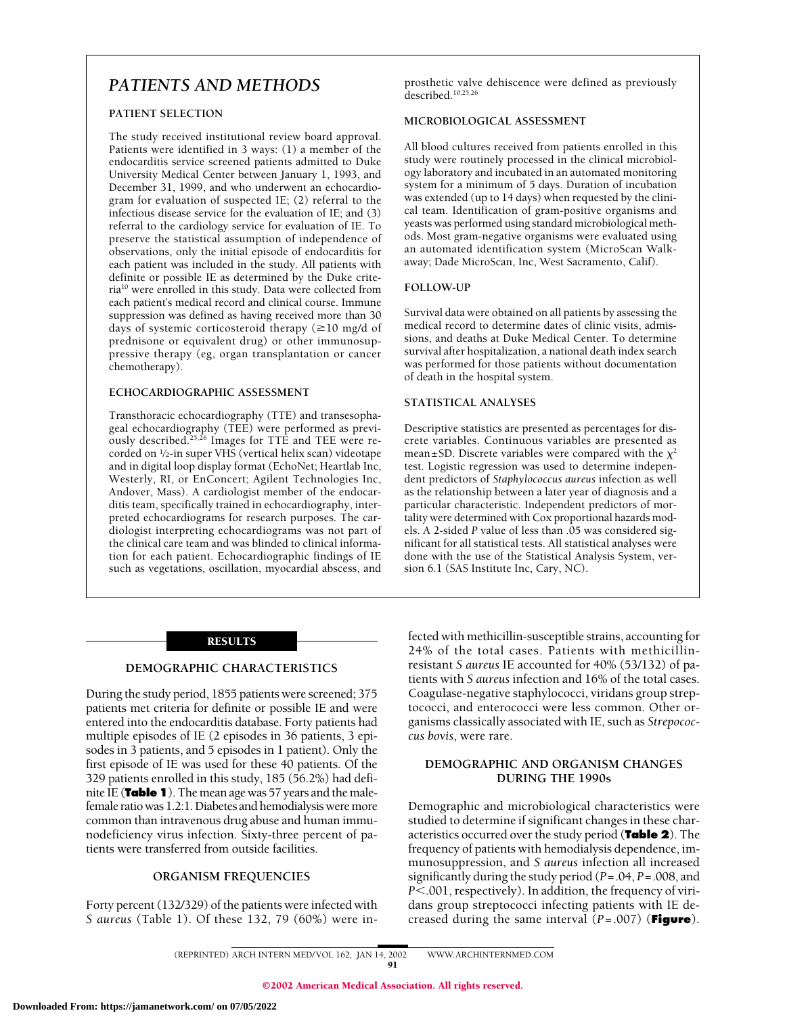# *PATIENTS AND METHODS*

#### **PATIENT SELECTION**

The study received institutional review board approval. Patients were identified in 3 ways: (1) a member of the endocarditis service screened patients admitted to Duke University Medical Center between January 1, 1993, and December 31, 1999, and who underwent an echocardiogram for evaluation of suspected IE; (2) referral to the infectious disease service for the evaluation of IE; and (3) referral to the cardiology service for evaluation of IE. To preserve the statistical assumption of independence of observations, only the initial episode of endocarditis for each patient was included in the study. All patients with definite or possible IE as determined by the Duke criteria10 were enrolled in this study. Data were collected from each patient's medical record and clinical course. Immune suppression was defined as having received more than 30 days of systemic corticosteroid therapy  $(\geq 10 \text{ mg/d of})$ prednisone or equivalent drug) or other immunosuppressive therapy (eg, organ transplantation or cancer chemotherapy).

#### **ECHOCARDIOGRAPHIC ASSESSMENT**

Transthoracic echocardiography (TTE) and transesophageal echocardiography (TEE) were performed as previously described.<sup>25,26</sup> Images for TTE and TEE were recorded on 1⁄2-in super VHS (vertical helix scan) videotape and in digital loop display format (EchoNet; Heartlab Inc, Westerly, RI, or EnConcert; Agilent Technologies Inc, Andover, Mass). A cardiologist member of the endocarditis team, specifically trained in echocardiography, interpreted echocardiograms for research purposes. The cardiologist interpreting echocardiograms was not part of the clinical care team and was blinded to clinical information for each patient. Echocardiographic findings of IE such as vegetations, oscillation, myocardial abscess, and prosthetic valve dehiscence were defined as previously described.<sup>10,25,26</sup>

#### **MICROBIOLOGICAL ASSESSMENT**

All blood cultures received from patients enrolled in this study were routinely processed in the clinical microbiology laboratory and incubated in an automated monitoring system for a minimum of 5 days. Duration of incubation was extended (up to 14 days) when requested by the clinical team. Identification of gram-positive organisms and yeasts was performed using standard microbiological methods. Most gram-negative organisms were evaluated using an automated identification system (MicroScan Walkaway; Dade MicroScan, Inc, West Sacramento, Calif).

#### **FOLLOW-UP**

Survival data were obtained on all patients by assessing the medical record to determine dates of clinic visits, admissions, and deaths at Duke Medical Center. To determine survival after hospitalization, a national death index search was performed for those patients without documentation of death in the hospital system.

#### **STATISTICAL ANALYSES**

Descriptive statistics are presented as percentages for discrete variables. Continuous variables are presented as mean±SD. Discrete variables were compared with the  $\chi^2$ test. Logistic regression was used to determine independent predictors of *Staphylococcus aureus* infection as well as the relationship between a later year of diagnosis and a particular characteristic. Independent predictors of mortality were determined with Cox proportional hazards models. A 2-sided *P* value of less than .05 was considered significant for all statistical tests. All statistical analyses were done with the use of the Statistical Analysis System, version 6.1 (SAS Institute Inc, Cary, NC).

#### RESULTS

#### **DEMOGRAPHIC CHARACTERISTICS**

During the study period, 1855 patients were screened; 375 patients met criteria for definite or possible IE and were entered into the endocarditis database. Forty patients had multiple episodes of IE (2 episodes in 36 patients, 3 episodes in 3 patients, and 5 episodes in 1 patient). Only the first episode of IE was used for these 40 patients. Of the 329 patients enrolled in this study, 185 (56.2%) had definite IE (**Table 1**). The mean age was 57 years and the malefemale ratio was 1.2:1. Diabetes and hemodialysis were more common than intravenous drug abuse and human immunodeficiency virus infection. Sixty-three percent of patients were transferred from outside facilities.

# **ORGANISM FREQUENCIES**

Forty percent (132/329) of the patients were infected with *S aureus* (Table 1). Of these 132, 79 (60%) were infected with methicillin-susceptible strains, accounting for 24% of the total cases. Patients with methicillinresistant *S aureus* IE accounted for 40% (53/132) of patients with *S aureus* infection and 16% of the total cases. Coagulase-negative staphylococci, viridans group streptococci, and enterococci were less common. Other organisms classically associated with IE, such as *Strepococcus bovis*, were rare.

#### **DEMOGRAPHIC AND ORGANISM CHANGES DURING THE 1990s**

Demographic and microbiological characteristics were studied to determine if significant changes in these characteristics occurred over the study period (**Table 2**). The frequency of patients with hemodialysis dependence, immunosuppression, and *S aureus* infection all increased significantly during the study period (*P*=.04, *P*=.008, and *P*.001, respectively). In addition, the frequency of viridans group streptococci infecting patients with IE decreased during the same interval (*P*=.007) (**Figure**).

(REPRINTED) ARCH INTERN MED/ VOL 162, JAN 14, 2002 WWW.ARCHINTERNMED.COM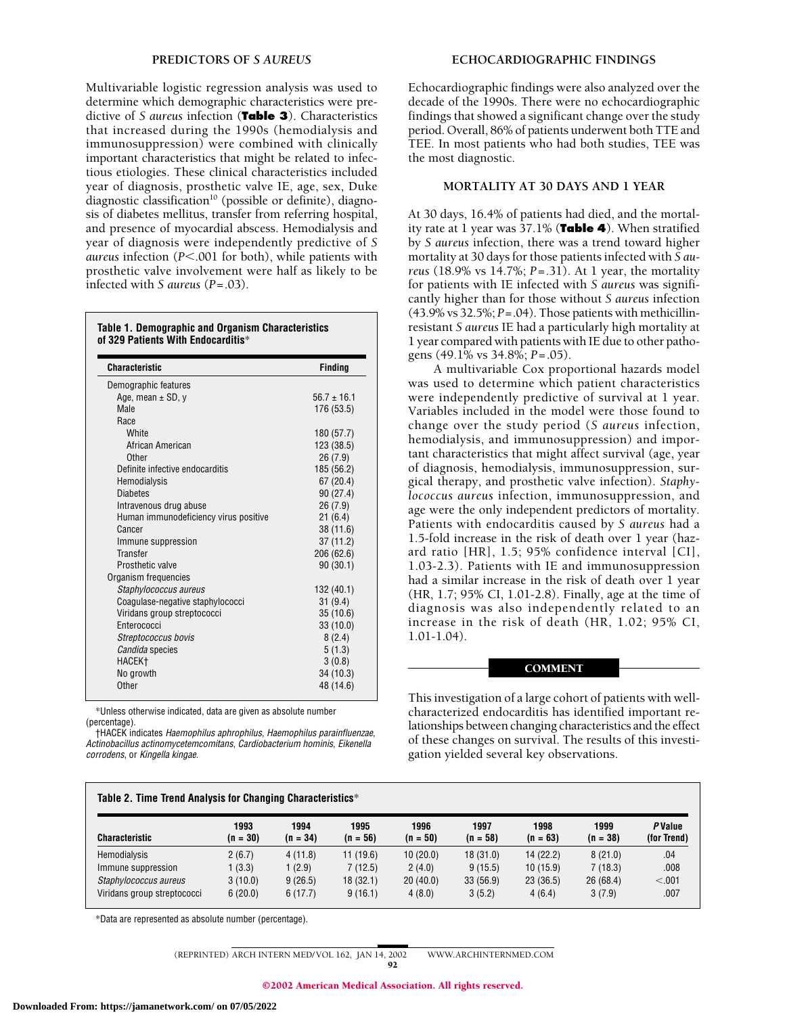Multivariable logistic regression analysis was used to determine which demographic characteristics were predictive of *S aureus* infection (**Table 3**). Characteristics that increased during the 1990s (hemodialysis and immunosuppression) were combined with clinically important characteristics that might be related to infectious etiologies. These clinical characteristics included year of diagnosis, prosthetic valve IE, age, sex, Duke diagnostic classification<sup>10</sup> (possible or definite), diagnosis of diabetes mellitus, transfer from referring hospital, and presence of myocardial abscess. Hemodialysis and year of diagnosis were independently predictive of *S aureus* infection (*P*.001 for both), while patients with prosthetic valve involvement were half as likely to be infected with *S aureus* (*P*=.03).

#### **Table 1. Demographic and Organism Characteristics of 329 Patients With Endocarditis**\*

| <b>Characteristic</b>                 | Finding         |
|---------------------------------------|-----------------|
| Demographic features                  |                 |
| Age, mean $\pm$ SD, y                 | $56.7 \pm 16.1$ |
| <b>Male</b>                           | 176 (53.5)      |
| Race                                  |                 |
| White                                 | 180 (57.7)      |
| African American                      | 123 (38.5)      |
| <b>Other</b>                          | 26(7.9)         |
| Definite infective endocarditis       | 185 (56.2)      |
| Hemodialysis                          | 67(20.4)        |
| <b>Diabetes</b>                       | 90 (27.4)       |
| Intravenous drug abuse                | 26(7.9)         |
| Human immunodeficiency virus positive | 21(6.4)         |
| Cancer                                | 38 (11.6)       |
| Immune suppression                    | 37(11.2)        |
| <b>Transfer</b>                       | 206 (62.6)      |
| Prosthetic valve                      | 90(30.1)        |
| Organism frequencies                  |                 |
| Staphylococcus aureus                 | 132 (40.1)      |
| Coagulase-negative staphylococci      | 31(9.4)         |
| Viridans group streptococci           | 35(10.6)        |
| Enterococci                           | 33 (10.0)       |
| Streptococcus bovis                   | 8(2.4)          |
| Candida species                       | 5(1.3)          |
| HACEK <sup>+</sup>                    | 3(0.8)          |
| No growth                             | 34 (10.3)       |
| Other                                 | 48 (14.6)       |

\*Unless otherwise indicated, data are given as absolute number (percentage).

†HACEK indicates *Haemophilus aphrophilus*, *Haemophilus parainfluenzae*, *Actinobacillus actinomycetemcomitans*, *Cardiobacterium hominis*, *Eikenella corrodens*, or *Kingella kingae*.

Echocardiographic findings were also analyzed over the decade of the 1990s. There were no echocardiographic findings that showed a significant change over the study period. Overall, 86% of patients underwent both TTE and TEE. In most patients who had both studies, TEE was the most diagnostic.

#### **MORTALITY AT 30 DAYS AND 1 YEAR**

At 30 days, 16.4% of patients had died, and the mortality rate at 1 year was 37.1% (**Table 4**). When stratified by *S aureus* infection, there was a trend toward higher mortality at 30 days for those patients infected with *S aureus* (18.9% vs 14.7%; *P*=.31). At 1 year, the mortality for patients with IE infected with *S aureus* was significantly higher than for those without *S aureus* infection (43.9% vs 32.5%; *P*=.04). Those patients with methicillinresistant *S aureus* IE had a particularly high mortality at 1 year compared with patients with IE due to other pathogens (49.1% vs 34.8%; *P*=.05).

A multivariable Cox proportional hazards model was used to determine which patient characteristics were independently predictive of survival at 1 year. Variables included in the model were those found to change over the study period (*S aureus* infection, hemodialysis, and immunosuppression) and important characteristics that might affect survival (age, year of diagnosis, hemodialysis, immunosuppression, surgical therapy, and prosthetic valve infection). *Staphylococcus aureus* infection, immunosuppression, and age were the only independent predictors of mortality. Patients with endocarditis caused by *S aureus* had a 1.5-fold increase in the risk of death over 1 year (hazard ratio [HR], 1.5; 95% confidence interval [CI], 1.03-2.3). Patients with IE and immunosuppression had a similar increase in the risk of death over 1 year (HR, 1.7; 95% CI, 1.01-2.8). Finally, age at the time of diagnosis was also independently related to an increase in the risk of death (HR, 1.02; 95% CI, 1.01-1.04).

# **COMMENT**

This investigation of a large cohort of patients with wellcharacterized endocarditis has identified important relationships between changing characteristics and the effect of these changes on survival. The results of this investigation yielded several key observations.

| Table 2. Time Trend Analysis for Changing Characteristics* |                    |                    |                    |                    |                    |                    |                    |                               |  |
|------------------------------------------------------------|--------------------|--------------------|--------------------|--------------------|--------------------|--------------------|--------------------|-------------------------------|--|
| <b>Characteristic</b>                                      | 1993<br>$(n = 30)$ | 1994<br>$(n = 34)$ | 1995<br>$(n = 56)$ | 1996<br>$(n = 50)$ | 1997<br>$(n = 58)$ | 1998<br>$(n = 63)$ | 1999<br>$(n = 38)$ | <b>P</b> Value<br>(for Trend) |  |
| Hemodialysis                                               | 2(6.7)             | 4(11.8)            | 11(19.6)           | 10(20.0)           | 18(31.0)           | 14(22.2)           | 8(21.0)            | .04                           |  |
| Immune suppression                                         | 1(3.3)             | 1 (2.9)            | 7 (12.5)           | 2(4.0)             | 9(15.5)            | 10(15.9)           | 7(18.3)            | .008                          |  |
| Staphylococcus aureus                                      | 3(10.0)            | 9(26.5)            | 18(32.1)           | 20(40.0)           | 33 (56.9)          | 23 (36.5)          | 26(68.4)           | < .001                        |  |
| Viridans group streptococci                                | 6(20.0)            | 6(17.7)            | 9(16.1)            | 4(8.0)             | 3(5.2)             | 4(6.4)             | 3(7.9)             | .007                          |  |

\*Data are represented as absolute number (percentage).

(REPRINTED) ARCH INTERN MED/ VOL 162, JAN 14, 2002 WWW.ARCHINTERNMED.COM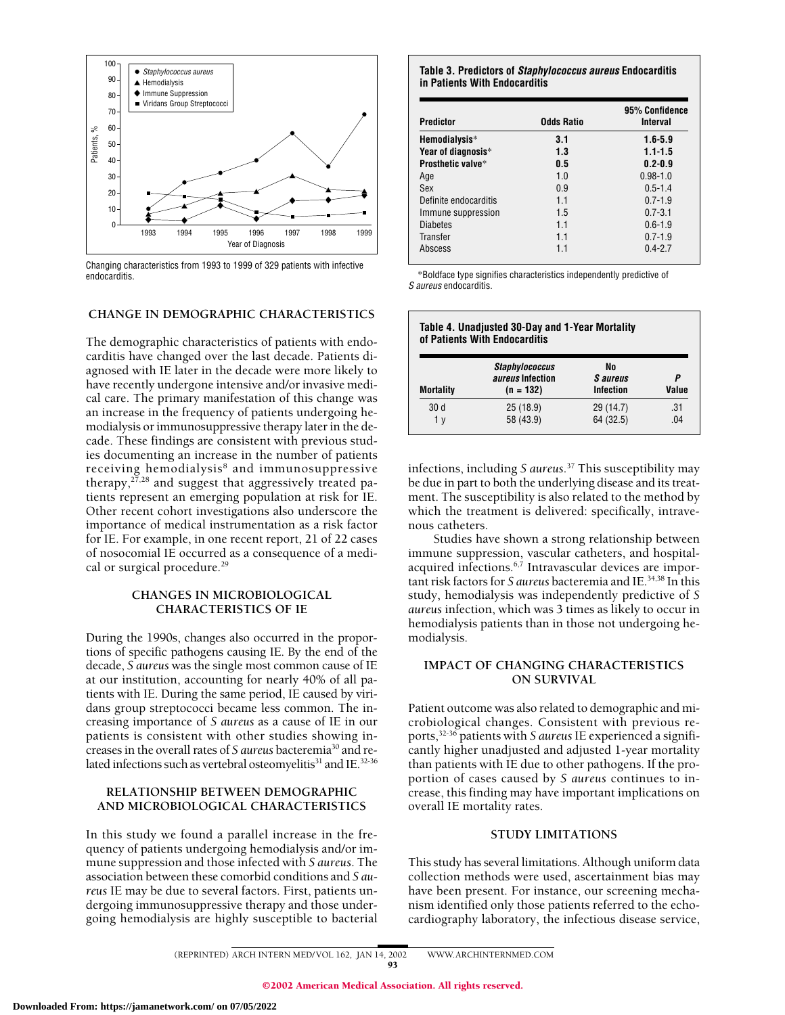

Changing characteristics from 1993 to 1999 of 329 patients with infective endocarditis.

#### **CHANGE IN DEMOGRAPHIC CHARACTERISTICS**

The demographic characteristics of patients with endocarditis have changed over the last decade. Patients diagnosed with IE later in the decade were more likely to have recently undergone intensive and/or invasive medical care. The primary manifestation of this change was an increase in the frequency of patients undergoing hemodialysis or immunosuppressive therapy later in the decade. These findings are consistent with previous studies documenting an increase in the number of patients receiving hemodialysis<sup>8</sup> and immunosuppressive therapy,  $27,28$  and suggest that aggressively treated patients represent an emerging population at risk for IE. Other recent cohort investigations also underscore the importance of medical instrumentation as a risk factor for IE. For example, in one recent report, 21 of 22 cases of nosocomial IE occurred as a consequence of a medical or surgical procedure.<sup>29</sup>

#### **CHANGES IN MICROBIOLOGICAL CHARACTERISTICS OF IE**

During the 1990s, changes also occurred in the proportions of specific pathogens causing IE. By the end of the decade, *S aureus* was the single most common cause of IE at our institution, accounting for nearly 40% of all patients with IE. During the same period, IE caused by viridans group streptococci became less common. The increasing importance of *S aureus* as a cause of IE in our patients is consistent with other studies showing increases in the overall rates of *S aureus* bacteremia30 and related infections such as vertebral osteomyelitis<sup>31</sup> and IE.<sup>32-36</sup>

#### **RELATIONSHIP BETWEEN DEMOGRAPHIC AND MICROBIOLOGICAL CHARACTERISTICS**

In this study we found a parallel increase in the frequency of patients undergoing hemodialysis and/or immune suppression and those infected with *S aureus*. The association between these comorbid conditions and *S aureus* IE may be due to several factors. First, patients undergoing immunosuppressive therapy and those undergoing hemodialysis are highly susceptible to bacterial

**Table 3. Predictors of** *Staphylococcus aureus* **Endocarditis in Patients With Endocarditis**

| Predictor             | Odds Ratio | 95% Confidence<br>Interval |
|-----------------------|------------|----------------------------|
| Hemodialysis*         | 3.1        | $1.6 - 5.9$                |
| Year of diagnosis*    | 1.3        | $1.1 - 1.5$                |
| Prosthetic valve*     | 0.5        | $0.2 - 0.9$                |
| Age                   | 1.0        | $0.98 - 1.0$               |
| Sex                   | 0.9        | $0.5 - 1.4$                |
| Definite endocarditis | 1.1        | $0.7 - 1.9$                |
| Immune suppression    | 1.5        | $0.7 - 3.1$                |
| <b>Diabetes</b>       | 11         | $0.6 - 1.9$                |
| Transfer              | 11         | $0.7 - 1.9$                |
| Abscess               | 1.1        | $0.4 - 2.7$                |

\*Boldface type signifies characteristics independently predictive of *S aureus* endocarditis.

| Table 4. Unadjusted 30-Day and 1-Year Mortality<br>of Patients With Endocarditis |                                                                 |                                    |            |  |
|----------------------------------------------------------------------------------|-----------------------------------------------------------------|------------------------------------|------------|--|
| <b>Mortality</b>                                                                 | <b>Staphylococcus</b><br><i>aureus</i> Infection<br>$(n = 132)$ | No<br><i>S</i> aureus<br>Infection | Р<br>Value |  |
| 30 <sub>d</sub><br>1 v                                                           | 25 (18.9)<br>58 (43.9)                                          | 29 (14.7)<br>64 (32.5)             | .31<br>-04 |  |

infections, including *S aureus*. <sup>37</sup> This susceptibility may be due in part to both the underlying disease and its treatment. The susceptibility is also related to the method by which the treatment is delivered: specifically, intravenous catheters.

Studies have shown a strong relationship between immune suppression, vascular catheters, and hospitalacquired infections.<sup>6,7</sup> Intravascular devices are important risk factors for *S aureus* bacteremia and IE.34,38 In this study, hemodialysis was independently predictive of *S aureus* infection, which was 3 times as likely to occur in hemodialysis patients than in those not undergoing hemodialysis.

# **IMPACT OF CHANGING CHARACTERISTICS ON SURVIVAL**

Patient outcome was also related to demographic and microbiological changes. Consistent with previous reports,32-36 patients with *S aureus* IE experienced a significantly higher unadjusted and adjusted 1-year mortality than patients with IE due to other pathogens. If the proportion of cases caused by *S aureus* continues to increase, this finding may have important implications on overall IE mortality rates.

#### **STUDY LIMITATIONS**

This study has several limitations. Although uniform data collection methods were used, ascertainment bias may have been present. For instance, our screening mechanism identified only those patients referred to the echocardiography laboratory, the infectious disease service,

(REPRINTED) ARCH INTERN MED/ VOL 162, JAN 14, 2002 WWW.ARCHINTERNMED.COM

93